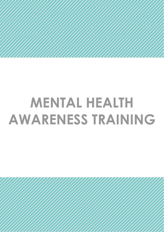## **MENTAL HEALTH AWARENESS TRAINING**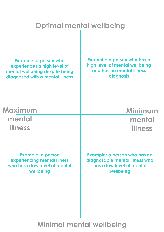### **Optimal mental wellbeing**

**Example: a person who experiences a high level of mental wellbeing despite being diagnosed with a mental illness**

**Example: a person who has a high level of mental wellbeing and has no mental illness diagnosis**

**Maximum mental illness**

**Minimum mental illness**

**Example: a person experiencing mental illness who has a low level of mental wellbeing**

**Example: a person who has no diagnosable mental illness who has a low level of mental wellbeing**

### **Minimal mental wellbeing**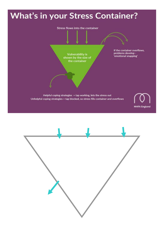

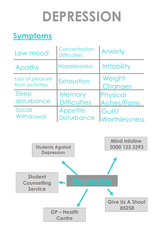## **DEPRESSION**

## **Symptoms**

| Low mood                            | Concentration<br><b>Difficulties</b> | Anxiety                        |
|-------------------------------------|--------------------------------------|--------------------------------|
| Apathy                              | Hopelessness                         | <b>Irritability</b>            |
| Loss of pleasure<br>from activities | Exhaustion                           | Weight<br>Changes              |
| Sleep<br>disturbance                | Memory<br><b>Difficulties</b>        | Physical<br><b>Aches/Pains</b> |
| Social<br>Withdrawal                | Appetite<br><b>Disturbance</b>       | Guilt/<br><b>Worthlessness</b> |

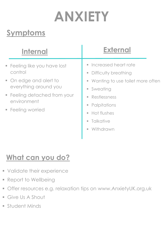## **ANXIETY**

### **Symptoms**

| <b>Internal</b>                                                  | <b>External</b>                                                                                                                                                                       |
|------------------------------------------------------------------|---------------------------------------------------------------------------------------------------------------------------------------------------------------------------------------|
| • Feeling like you have lost<br>control                          | • Increased heart rate<br>Difficulty breathing<br>ш                                                                                                                                   |
| • On edge and alert to<br>everything around you                  | Wanting to use toilet more often<br>ш<br>Sweating<br>$\mathcal{L}_{\mathcal{A}}$                                                                                                      |
| • Feeling detached from your<br>environment<br>• Feeling worried | Restlessness<br>$\mathcal{L}_{\mathcal{A}}$<br>Palpitations<br>ш<br>Hot flushes<br>$\mathcal{L}_{\mathcal{A}}$<br><b>Talkative</b><br>$\overline{\phantom{a}}$<br>Withdrawn<br>$\Box$ |
|                                                                  |                                                                                                                                                                                       |

### **What can you do?**

- **Validate their experience**
- Report to Wellbeing
- Offer resources e.g. relaxation tips on [www.AnxietyUK.org.uk](http://www.anxietyuk.org.uk/)
- Give Us A Shout
- **Student Minds**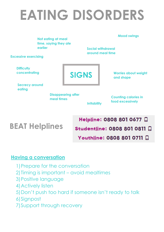## **EATING DISORDERS**

| <b>Excessive exercising</b>        | Not eating at meal<br>time, saying they ate<br>earlier |                           | <b>Mood swings</b><br><b>Social withdrawal</b><br>around meal time |  |
|------------------------------------|--------------------------------------------------------|---------------------------|--------------------------------------------------------------------|--|
| <b>Difficulty</b><br>concentrating |                                                        | <b>SIGNS</b>              | <b>Worries about weight</b><br>and shape                           |  |
| <b>Secrecy around</b><br>eating    |                                                        | <b>Disappearing after</b> | <b>Counting calories in</b>                                        |  |
|                                    | meal times                                             | <b>Irritability</b>       | food excessively                                                   |  |

**BEAT Helplines**

### Helpline: 0808 801 0677 Q Studentline: 0808 801 0811 D Youthline: 0808 801 0711 <del>□</del>

#### **Having a conversation**

- 1)Prepare for the conversation
- 2)Timing is important avoid mealtimes
- 3)Positive language
- 4)Actively listen
- 5)Don't push too hard if someone isn't ready to talk
- 6)Signpost
- 7)Support through recovery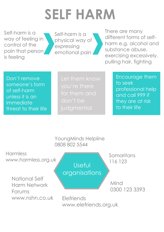## **SELF HARM**

Self-harm is a way of feeling in control of the pain that person is feeling

Self-harm is a physical way of expressing emotional pain

There are many different forms of selfharm e.g. alcohol and substance abuse, exercising excessively, pulling hair, fighting

Don't remove someone's form of self-harm unless it is an immediate threat to their life don't be

Encourage them to seek professional help and call 999 if they are at risk to their life

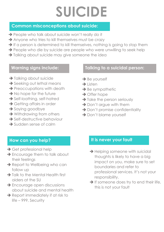## **SUICIDE**

#### **Common misconceptions about suicide:**

- **→ People who talk about suicide won't really do it**
- **→** Anyone who tries to kill themselves must be crazy
- → If a person is determined to kill themselves, nothing is going to stop them
- → People who die by suicide are people who were unwilling to seek help
- **→ Talking about suicide may give someone the idea**

#### **Warning signs include:**

- **→ Talking about suicide**
- **→ Seeking out lethal means**
- **→ Preoccupations with death**
- **→ No hope for the future**
- **→ Self-loathing, self-hatred**
- **→ Getting affairs in order**
- **→ Saying goodbye**
- **→ Withdrawing from others**
- **→ Self-destructive behaviour**
- **→** Sudden sense of calm

#### **Talking to a suicidal person:**

- **→** Be yourself
- **→** Listen
- **→** Be sympathetic
- → Offer hope
- → Take the person seriously
- → Don't argue with them
- **→ Don't promise confidentiality**
- **→ Don't blame yourself**

#### **How can you help?**

- **→ Get professional help**
- → Encourage them to talk about their feelings
- **→ Report to Wellbeing who can** follow up
- → Talk to the Mental Health first aiders at the SU
- **→ Encourage open discussions** about suicide and mental health
- **→ Report immediately if at risk to** life – 999, Security

#### **It is never your fault**

- **→ Helping someone with suicidal** thoughts is likely to have a big impact on you, make sure to set boundaries and refer to professional services. It's not your responsibility.
- **→ If someone does try to end their life,** this is not your fault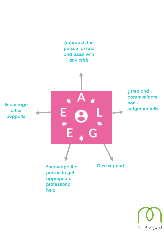

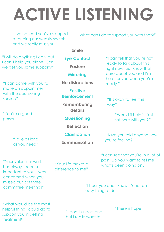# **ACTIVE LISTENING**

"I've noticed you've stopped attending our weekly socials and we really miss you."

"What can I do to support you with that?"

#### **Smile**

**Eye Contact**

**Posture**

**Mirroring**

**No distractions**

**Positive Reinforcement**

**Remembering details**

**Questioning**

**Reflection**

**Clarification**

**Summarisation**

"I can tell that you're not ready to talk about this right now, but know that I care about you and I'm here for you when you're ready."

"It's okay to feel this way"

> "Would it help if I just sat here with you?"

"Have you told anyone how you're feeling?"

"I can see that you're in a lot of pain. Do you want to tell me what's been going on?"

"I hear you and I know it's not an easy thing to do"

"What would be the most helpful thing I could do to support you in getting treatment?"

"Your volunteer work has always been so

"Take as long

"I can come with you to make an appointment

"I will do anything I can, but I can't help you alone. Can we get you some support?"

with the counselling

"You're a good

service"

person"

important to you. I was concerned when you missed our last three

committee meetings"

"I don't understand, but I really want to." "There is hope"

"Your life makes a difference to me"

as you need"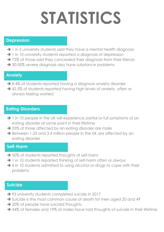# **STATISTICS**

#### **Depression**

- → 1 in 5 university students said they have a mental health diagnosis
- → 1 in 10 university students reported a diagnosis of depression
- → 75% of those said they concealed their diagnosis from their friends
- **→ 30-50% severe diagnosis also have substance problems**

#### **Anxiety**

➔

- **→ 8.4% of students reported having a diagnosis anxiety disorder**
- ➔ 42.5% of students reported having high levels of anxiety, often or always feeling worried

#### **Eating Disorders**

- → 1 in 10 people in the UK will experience partial or full symptoms of an eating disorder at some point in their lifetime
- **→ 25% of those affected by an eating disorder are male**
- → Between 1.25 and 3.4 million people in the UK are affected by an eating disorder

#### **Self-Harm**

- **→ 50% of students reported thoughts of self-harm**
- → 1 in 10 students reported thinking of self-harm often or always
- → 4 in 10 students admitted to using alcohol or drugs to cope with their problems

#### **Suicide**

- ➔ 95 university students completed suicide in 2017
- → Suicide is the most common cause of death for men aged 20 and 49
- **→ 20% of people have suicidal thoughts**
- → 34% of females and 19% of males have had thoughts of suicide in their lifetime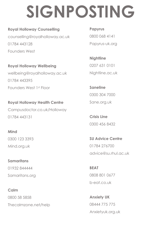## **SIGNPOSTING**

#### **Royal Holloway Counselling**

counselling@royalholloway.ac.uk 01784 443128 Founders West

**Royal Holloway Wellbeing** wellbeing@royalholloway.ac.uk 01784 443395 Founders West 1st Floor

**Royal Holloway Health Centre** Campusdoctor.co.uk/Holloway 01784 443131

#### **Mind**

0300 123 3393 Mind.org.uk

**Samaritans**

01932 844444 Samaritans.org

#### **Calm**

0800 58 5858 Thecalmzone.net/help

**Papyrus** 0800 068 4141 Papyrus-uk.org

**Nightline** 0207 631 0101 Nightline.ac.uk

**Saneline** 0300 304 7000 Sane.org.uk

**Crisis Line** 0300 456 8432

**SU Advice Centre** 01784 276700 advice@su.rhul.ac.uk

**BEAT** 0808 801 0677 b-eat.co.uk

**Anxiety UK** 08444 775 775 Anxietyuk.org.uk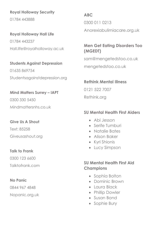#### **Royal Holloway Security**

01784 443888

**Royal Holloway Hall Life** 01784 443237 Hall.life@royalholloway.ac.uk

**Students Against Depression**

01635 869754 Studentsagainstdepression.org

**Mind Matters Surrey – IAPT**

0300 330 5450 Mindmattersnhs.co.uk

**Give Us A Shout** Text: 85258 Giveusashout.org

#### **Talk to Frank**

0300 123 6600

Talktofrank.com

#### **No Panic**

0844 967 4848 Nopanic.org.uk **ABC** 0300 011 0213

Anorexiabulimiacare.org.uk

#### **Men Get Eating Disorders Too (MGEDT)**

sam@mengetedstoo.co.uk mengetedstoo.co.uk

#### **Rethink Mental Illness**

0121 522 7007 Rethink.org

#### **SU Mental Health First Aiders**

- Abi Jesson
- Serife Tumburi
- Natalie Bates
- Alison Baker
- Kyri Shionis
- Lucy Simpson

#### **SU Mental Health First Aid Champions**

- Sophia Bolton
- Dominic Brown
- Laura Black
- Phillip Dowler
- Susan Bond
- Sophie Bury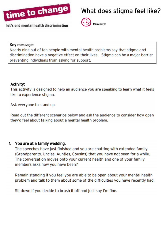

### What does stigma feel like?



### 10 minutes

#### Key message:

Nearly nine out of ten people with mental health problems say that stigma and discrimination have a negative effect on their lives. Stigma can be a major barrier preventing individuals from asking for support.

#### Activity:

This activity is designed to help an audience you are speaking to learn what it feels like to experience stigma.

Ask everyone to stand up.

Read out the different scenarios below and ask the audience to consider how open they'd feel about talking about a mental health problem.

#### 1. You are at a family wedding.

The speeches have just finished and you are chatting with extended family (Grandparents, Uncles, Aunties, Cousins) that you have not seen for a while. The conversation moves onto your current health and one of your family members asks how you have been?

Remain standing if you feel you are able to be open about your mental health problem and talk to them about some of the difficulties you have recently had.

Sit down if you decide to brush it off and just say I'm fine.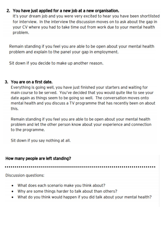#### 2. You have just applied for a new job at a new organisation.

It's your dream job and you were very excited to hear you have been shortlisted for interview. In the interview the discussion moves on to ask about the gap in your CV where you had to take time out from work due to your mental health problem.

Remain standing if you feel you are able to be open about your mental health problem and explain to the panel your gap in employment.

Sit down if you decide to make up another reason.

#### 3. You are on a first date.

Everything is going well, you have just finished your starters and waiting for main course to be served. You've decided that you would quite like to see your date again as things seem to be going so well. The conversation moves onto mental health and you discuss a TV programme that has recently been on about this.

Remain standing if you feel you are able to be open about your mental health problem and let the other person know about your experience and connection to the programme.

Sit down if you say nothing at all.

#### How many people are left standing?

**Discussion questions:** 

- What does each scenario make you think about?
- Why are some things harder to talk about than others?
- What do you think would happen if you did talk about your mental health? ۰